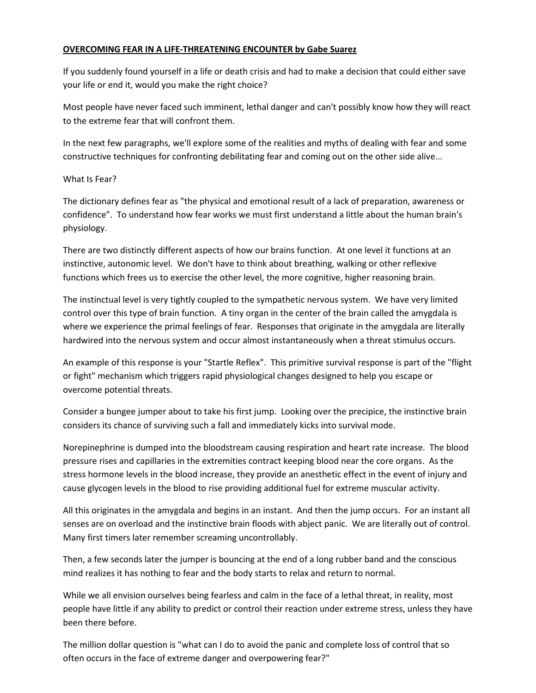### OVERCOMING FEAR IN A LIFE-THREATENING ENCOUNTER by Gabe Suarez

If you suddenly found yourself in a life or death crisis and had to make a decision that could either save your life or end it, would you make the right choice?

Most people have never faced such imminent, lethal danger and can't possibly know how they will react to the extreme fear that will confront them.

In the next few paragraphs, we'll explore some of the realities and myths of dealing with fear and some constructive techniques for confronting debilitating fear and coming out on the other side alive...

# What Is Fear?

The dictionary defines fear as "the physical and emotional result of a lack of preparation, awareness or confidence". To understand how fear works we must first understand a little about the human brain's physiology.

There are two distinctly different aspects of how our brains function. At one level it functions at an instinctive, autonomic level. We don't have to think about breathing, walking or other reflexive functions which frees us to exercise the other level, the more cognitive, higher reasoning brain.

The instinctual level is very tightly coupled to the sympathetic nervous system. We have very limited control over this type of brain function. A tiny organ in the center of the brain called the amygdala is where we experience the primal feelings of fear. Responses that originate in the amygdala are literally hardwired into the nervous system and occur almost instantaneously when a threat stimulus occurs.

An example of this response is your "Startle Reflex". This primitive survival response is part of the "flight or fight" mechanism which triggers rapid physiological changes designed to help you escape or overcome potential threats.

Consider a bungee jumper about to take his first jump. Looking over the precipice, the instinctive brain considers its chance of surviving such a fall and immediately kicks into survival mode.

Norepinephrine is dumped into the bloodstream causing respiration and heart rate increase. The blood pressure rises and capillaries in the extremities contract keeping blood near the core organs. As the stress hormone levels in the blood increase, they provide an anesthetic effect in the event of injury and cause glycogen levels in the blood to rise providing additional fuel for extreme muscular activity.

All this originates in the amygdala and begins in an instant. And then the jump occurs. For an instant all senses are on overload and the instinctive brain floods with abject panic. We are literally out of control. Many first timers later remember screaming uncontrollably.

Then, a few seconds later the jumper is bouncing at the end of a long rubber band and the conscious mind realizes it has nothing to fear and the body starts to relax and return to normal.

While we all envision ourselves being fearless and calm in the face of a lethal threat, in reality, most people have little if any ability to predict or control their reaction under extreme stress, unless they have been there before.

The million dollar question is "what can I do to avoid the panic and complete loss of control that so often occurs in the face of extreme danger and overpowering fear?"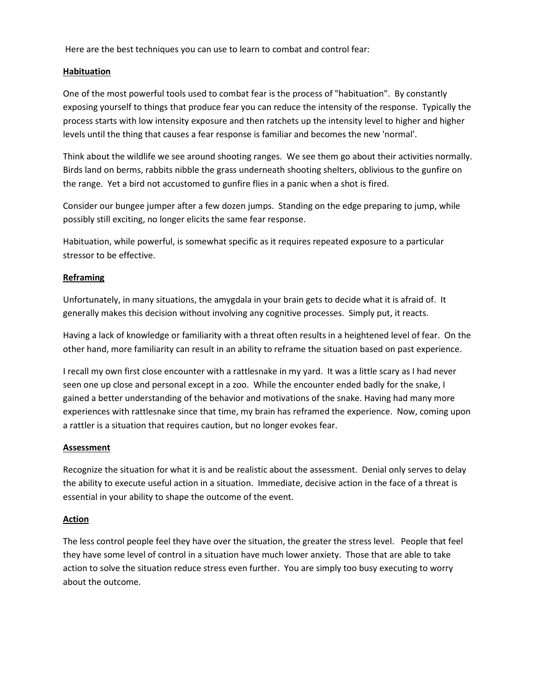Here are the best techniques you can use to learn to combat and control fear:

### **Habituation**

One of the most powerful tools used to combat fear is the process of "habituation". By constantly exposing yourself to things that produce fear you can reduce the intensity of the response. Typically the process starts with low intensity exposure and then ratchets up the intensity level to higher and higher levels until the thing that causes a fear response is familiar and becomes the new 'normal'.

Think about the wildlife we see around shooting ranges. We see them go about their activities normally. Birds land on berms, rabbits nibble the grass underneath shooting shelters, oblivious to the gunfire on the range. Yet a bird not accustomed to gunfire flies in a panic when a shot is fired.

Consider our bungee jumper after a few dozen jumps. Standing on the edge preparing to jump, while possibly still exciting, no longer elicits the same fear response.

Habituation, while powerful, is somewhat specific as it requires repeated exposure to a particular stressor to be effective.

# **Reframing**

Unfortunately, in many situations, the amygdala in your brain gets to decide what it is afraid of. It generally makes this decision without involving any cognitive processes. Simply put, it reacts.

Having a lack of knowledge or familiarity with a threat often results in a heightened level of fear. On the other hand, more familiarity can result in an ability to reframe the situation based on past experience.

I recall my own first close encounter with a rattlesnake in my yard. It was a little scary as I had never seen one up close and personal except in a zoo. While the encounter ended badly for the snake, I gained a better understanding of the behavior and motivations of the snake. Having had many more experiences with rattlesnake since that time, my brain has reframed the experience. Now, coming upon a rattler is a situation that requires caution, but no longer evokes fear.

### **Assessment**

Recognize the situation for what it is and be realistic about the assessment. Denial only serves to delay the ability to execute useful action in a situation. Immediate, decisive action in the face of a threat is essential in your ability to shape the outcome of the event.

### **Action**

The less control people feel they have over the situation, the greater the stress level. People that feel they have some level of control in a situation have much lower anxiety. Those that are able to take action to solve the situation reduce stress even further. You are simply too busy executing to worry about the outcome.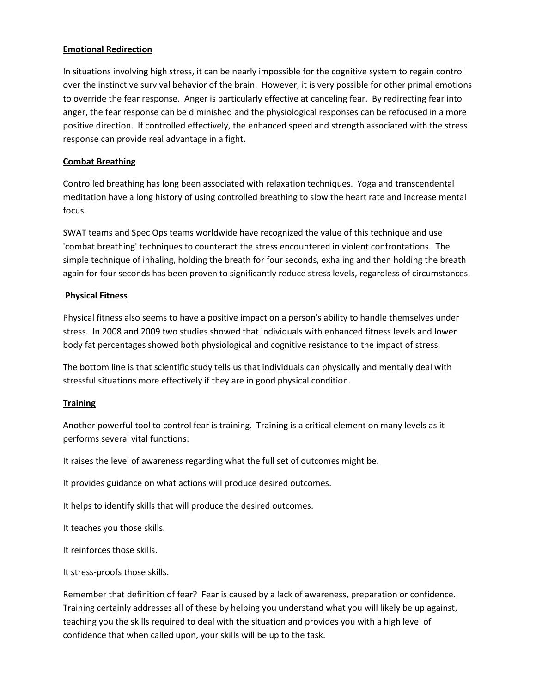### Emotional Redirection

In situations involving high stress, it can be nearly impossible for the cognitive system to regain control over the instinctive survival behavior of the brain. However, it is very possible for other primal emotions to override the fear response. Anger is particularly effective at canceling fear. By redirecting fear into anger, the fear response can be diminished and the physiological responses can be refocused in a more positive direction. If controlled effectively, the enhanced speed and strength associated with the stress response can provide real advantage in a fight.

# Combat Breathing

Controlled breathing has long been associated with relaxation techniques. Yoga and transcendental meditation have a long history of using controlled breathing to slow the heart rate and increase mental focus.

SWAT teams and Spec Ops teams worldwide have recognized the value of this technique and use 'combat breathing' techniques to counteract the stress encountered in violent confrontations. The simple technique of inhaling, holding the breath for four seconds, exhaling and then holding the breath again for four seconds has been proven to significantly reduce stress levels, regardless of circumstances.

# Physical Fitness

Physical fitness also seems to have a positive impact on a person's ability to handle themselves under stress. In 2008 and 2009 two studies showed that individuals with enhanced fitness levels and lower body fat percentages showed both physiological and cognitive resistance to the impact of stress.

The bottom line is that scientific study tells us that individuals can physically and mentally deal with stressful situations more effectively if they are in good physical condition.

### **Training**

Another powerful tool to control fear is training. Training is a critical element on many levels as it performs several vital functions:

It raises the level of awareness regarding what the full set of outcomes might be.

It provides guidance on what actions will produce desired outcomes.

It helps to identify skills that will produce the desired outcomes.

It teaches you those skills.

It reinforces those skills.

It stress-proofs those skills.

Remember that definition of fear? Fear is caused by a lack of awareness, preparation or confidence. Training certainly addresses all of these by helping you understand what you will likely be up against, teaching you the skills required to deal with the situation and provides you with a high level of confidence that when called upon, your skills will be up to the task.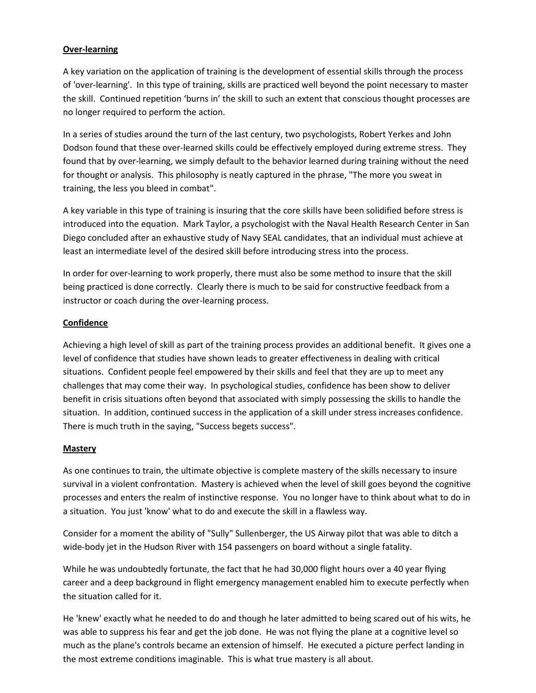# Over-learning

A key variation on the application of training is the development of essential skills through the process of 'over-learning'. In this type of training, skills are practiced well beyond the point necessary to master the skill. Continued repetition 'burns in' the skill to such an extent that conscious thought processes are no longer required to perform the action.

In a series of studies around the turn of the last century, two psychologists, Robert Yerkes and John Dodson found that these over-learned skills could be effectively employed during extreme stress. They found that by over-learning, we simply default to the behavior learned during training without the need for thought or analysis. This philosophy is neatly captured in the phrase, "The more you sweat in training, the less you bleed in combat".

A key variable in this type of training is insuring that the core skills have been solidified before stress is introduced into the equation. Mark Taylor, a psychologist with the Naval Health Research Center in San Diego concluded after an exhaustive study of Navy SEAL candidates, that an individual must achieve at least an intermediate level of the desired skill before introducing stress into the process.

In order for over-learning to work properly, there must also be some method to insure that the skill being practiced is done correctly. Clearly there is much to be said for constructive feedback from a instructor or coach during the over-learning process.

### Confidence

Achieving a high level of skill as part of the training process provides an additional benefit. It gives one a level of confidence that studies have shown leads to greater effectiveness in dealing with critical situations. Confident people feel empowered by their skills and feel that they are up to meet any challenges that may come their way. In psychological studies, confidence has been show to deliver benefit in crisis situations often beyond that associated with simply possessing the skills to handle the situation. In addition, continued success in the application of a skill under stress increases confidence. There is much truth in the saying, "Success begets success".

### **Mastery**

As one continues to train, the ultimate objective is complete mastery of the skills necessary to insure survival in a violent confrontation. Mastery is achieved when the level of skill goes beyond the cognitive processes and enters the realm of instinctive response. You no longer have to think about what to do in a situation. You just 'know' what to do and execute the skill in a flawless way.

Consider for a moment the ability of "Sully" Sullenberger, the US Airway pilot that was able to ditch a wide-body jet in the Hudson River with 154 passengers on board without a single fatality.

While he was undoubtedly fortunate, the fact that he had 30,000 flight hours over a 40 year flying career and a deep background in flight emergency management enabled him to execute perfectly when the situation called for it.

He 'knew' exactly what he needed to do and though he later admitted to being scared out of his wits, he was able to suppress his fear and get the job done. He was not flying the plane at a cognitive level so much as the plane's controls became an extension of himself. He executed a picture perfect landing in the most extreme conditions imaginable. This is what true mastery is all about.